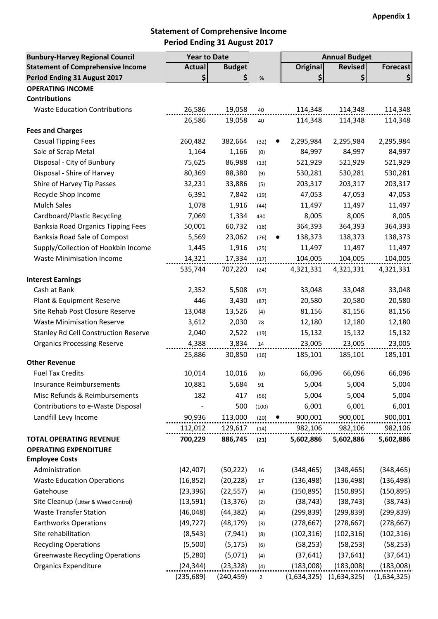## **Statement of Comprehensive Income Period Ending 31 August 2017**

| <b>Bunbury-Harvey Regional Council</b>      | <b>Year to Date</b> |               |                |                 | <b>Annual Budget</b> |                 |
|---------------------------------------------|---------------------|---------------|----------------|-----------------|----------------------|-----------------|
| <b>Statement of Comprehensive Income</b>    | <b>Actual</b>       | <b>Budget</b> |                | <b>Original</b> | <b>Revised</b>       | <b>Forecast</b> |
| Period Ending 31 August 2017                | \$                  | \$            | $\%$           | \$              | \$                   | \$              |
| <b>OPERATING INCOME</b>                     |                     |               |                |                 |                      |                 |
| <b>Contributions</b>                        |                     |               |                |                 |                      |                 |
| <b>Waste Education Contributions</b>        | 26,586              | 19,058        | 40             | 114,348         | 114,348              | 114,348         |
|                                             | 26,586              | 19,058        | 40             | 114,348         | 114,348              | 114,348         |
| <b>Fees and Charges</b>                     |                     |               |                |                 |                      |                 |
| <b>Casual Tipping Fees</b>                  | 260,482             | 382,664       | (32)           | 2,295,984       | 2,295,984            | 2,295,984       |
| Sale of Scrap Metal                         | 1,164               | 1,166         | (0)            | 84,997          | 84,997               | 84,997          |
| Disposal - City of Bunbury                  | 75,625              | 86,988        | (13)           | 521,929         | 521,929              | 521,929         |
| Disposal - Shire of Harvey                  | 80,369              | 88,380        | (9)            | 530,281         | 530,281              | 530,281         |
| Shire of Harvey Tip Passes                  | 32,231              | 33,886        | (5)            | 203,317         | 203,317              | 203,317         |
| Recycle Shop Income                         | 6,391               | 7,842         | (19)           | 47,053          | 47,053               | 47,053          |
| <b>Mulch Sales</b>                          | 1,078               | 1,916         | (44)           | 11,497          | 11,497               | 11,497          |
| Cardboard/Plastic Recycling                 | 7,069               | 1,334         | 430            | 8,005           | 8,005                | 8,005           |
| <b>Banksia Road Organics Tipping Fees</b>   | 50,001              | 60,732        |                | 364,393         | 364,393              | 364,393         |
| Banksia Road Sale of Compost                | 5,569               |               | (18)           | 138,373         | 138,373              |                 |
|                                             |                     | 23,062        | (76)           |                 |                      | 138,373         |
| Supply/Collection of Hookbin Income         | 1,445               | 1,916         | (25)           | 11,497          | 11,497               | 11,497          |
| <b>Waste Minimisation Income</b>            | 14,321              | 17,334        | (17)           | 104,005         | 104,005              | 104,005         |
|                                             | 535,744             | 707,220       | (24)           | 4,321,331       | 4,321,331            | 4,321,331       |
| <b>Interest Earnings</b>                    |                     |               |                |                 |                      |                 |
| Cash at Bank                                | 2,352               | 5,508         | (57)           | 33,048          | 33,048               | 33,048          |
| Plant & Equipment Reserve                   | 446                 | 3,430         | (87)           | 20,580          | 20,580               | 20,580          |
| Site Rehab Post Closure Reserve             | 13,048              | 13,526        | (4)            | 81,156          | 81,156               | 81,156          |
| <b>Waste Minimisation Reserve</b>           | 3,612               | 2,030         | 78             | 12,180          | 12,180               | 12,180          |
| <b>Stanley Rd Cell Construction Reserve</b> | 2,040               | 2,522         | (19)           | 15,132          | 15,132               | 15,132          |
| <b>Organics Processing Reserve</b>          | 4,388               | 3,834         | 14             | 23,005          | 23,005               | 23,005          |
|                                             | 25,886              | 30,850        | (16)           | 185,101         | 185,101              | 185,101         |
| <b>Other Revenue</b>                        |                     |               |                |                 |                      |                 |
| <b>Fuel Tax Credits</b>                     | 10,014              | 10,016        | (0)            | 66,096          | 66,096               | 66,096          |
| <b>Insurance Reimbursements</b>             | 10,881              | 5,684         | 91             | 5,004           | 5,004                | 5,004           |
| Misc Refunds & Reimbursements               | 182                 | 417           | (56)           | 5,004           | 5,004                | 5,004           |
| Contributions to e-Waste Disposal           |                     | 500           | (100)          | 6,001           | 6,001                | 6,001           |
| Landfill Levy Income                        | 90,936              | 113,000       | (20)           | 900,001         | 900,001              | 900,001         |
|                                             | 112,012             | 129,617       | (14)           | 982,106         | 982,106              | 982,106         |
| <b>TOTAL OPERATING REVENUE</b>              | 700,229             | 886,745       | (21)           | 5,602,886       | 5,602,886            | 5,602,886       |
| <b>OPERATING EXPENDITURE</b>                |                     |               |                |                 |                      |                 |
| <b>Employee Costs</b>                       |                     |               |                |                 |                      |                 |
| Administration                              | (42, 407)           | (50, 222)     | 16             | (348, 465)      | (348, 465)           | (348, 465)      |
| <b>Waste Education Operations</b>           | (16, 852)           | (20, 228)     | 17             | (136, 498)      | (136, 498)           | (136, 498)      |
| Gatehouse                                   | (23, 396)           | (22, 557)     | (4)            | (150, 895)      | (150, 895)           | (150, 895)      |
| Site Cleanup (Litter & Weed Control)        | (13, 591)           | (13, 376)     | (2)            | (38, 743)       | (38, 743)            | (38, 743)       |
| <b>Waste Transfer Station</b>               | (46, 048)           | (44, 382)     | (4)            | (299, 839)      | (299, 839)           | (299, 839)      |
| <b>Earthworks Operations</b>                | (49, 727)           | (48, 179)     | (3)            | (278, 667)      | (278, 667)           | (278, 667)      |
| Site rehabilitation                         | (8, 543)            | (7, 941)      | (8)            | (102, 316)      | (102, 316)           | (102, 316)      |
| <b>Recycling Operations</b>                 | (5,500)             | (5, 175)      | (6)            | (58, 253)       | (58, 253)            | (58, 253)       |
| <b>Greenwaste Recycling Operations</b>      | (5, 280)            | (5,071)       | (4)            | (37, 641)       | (37, 641)            | (37, 641)       |
| <b>Organics Expenditure</b>                 | (24, 344)           | (23, 328)     | (4)            | (183,008)       | (183,008)            | (183,008)       |
|                                             | (235, 689)          | (240, 459)    | $\overline{2}$ | (1,634,325)     | (1,634,325)          | (1,634,325)     |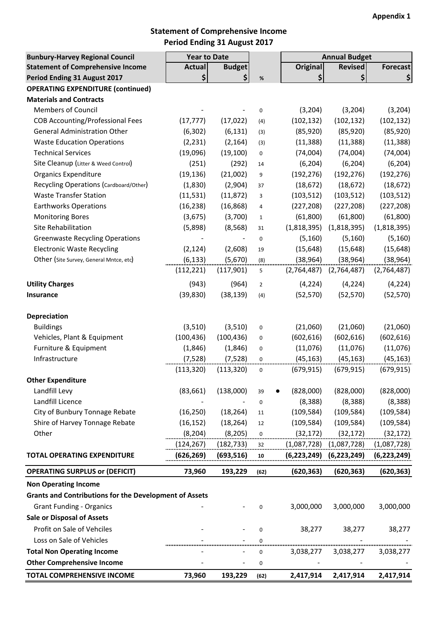# **Statement of Comprehensive Income Period Ending 31 August 2017**

| <b>Bunbury-Harvey Regional Council</b>                        | <b>Year to Date</b> |               |                | <b>Annual Budget</b> |                |                 |
|---------------------------------------------------------------|---------------------|---------------|----------------|----------------------|----------------|-----------------|
| <b>Statement of Comprehensive Income</b>                      | <b>Actual</b>       | <b>Budget</b> |                | <b>Original</b>      | <b>Revised</b> | <b>Forecast</b> |
| Period Ending 31 August 2017                                  | \$                  | \$            | $\%$           | \$                   | \$             | \$              |
| <b>OPERATING EXPENDITURE (continued)</b>                      |                     |               |                |                      |                |                 |
| <b>Materials and Contracts</b>                                |                     |               |                |                      |                |                 |
| <b>Members of Council</b>                                     |                     |               | $\mathbf 0$    | (3, 204)             | (3,204)        | (3, 204)        |
| <b>COB Accounting/Professional Fees</b>                       | (17, 777)           | (17, 022)     | (4)            | (102, 132)           | (102, 132)     | (102, 132)      |
| <b>General Administration Other</b>                           | (6, 302)            | (6, 131)      | (3)            | (85, 920)            | (85, 920)      | (85, 920)       |
| <b>Waste Education Operations</b>                             | (2, 231)            | (2, 164)      | (3)            | (11, 388)            | (11, 388)      | (11, 388)       |
| <b>Technical Services</b>                                     | (19,096)            | (19, 100)     | $\mathbf 0$    | (74,004)             | (74,004)       | (74,004)        |
| Site Cleanup (Litter & Weed Control)                          | (251)               | (292)         | 14             | (6, 204)             | (6, 204)       | (6, 204)        |
| <b>Organics Expenditure</b>                                   | (19, 136)           | (21,002)      | 9              | (192, 276)           | (192, 276)     | (192, 276)      |
| Recycling Operations (Cardboard/Other)                        | (1,830)             | (2,904)       | 37             | (18, 672)            | (18, 672)      | (18, 672)       |
| <b>Waste Transfer Station</b>                                 | (11, 531)           | (11, 872)     | 3              | (103, 512)           | (103, 512)     | (103, 512)      |
| <b>Earthworks Operations</b>                                  | (16, 238)           | (16, 868)     | 4              | (227, 208)           | (227, 208)     | (227, 208)      |
| <b>Monitoring Bores</b>                                       | (3,675)             | (3,700)       | $1\,$          | (61, 800)            | (61, 800)      | (61, 800)       |
| Site Rehabilitation                                           | (5,898)             | (8, 568)      | 31             | (1,818,395)          | (1,818,395)    | (1,818,395)     |
| <b>Greenwaste Recycling Operations</b>                        |                     |               | $\mathbf 0$    | (5, 160)             | (5, 160)       | (5, 160)        |
| <b>Electronic Waste Recycling</b>                             | (2, 124)            | (2,608)       | 19             | (15, 648)            | (15, 648)      | (15, 648)       |
| Other (Site Survey, General Mntce, etc)                       | (6, 133)            | (5,670)       | (8)            | (38, 964)            | (38, 964)      | (38, 964)       |
|                                                               | (112, 221)          | (117, 901)    | 5              | (2,764,487)          | (2,764,487)    | (2,764,487)     |
| <b>Utility Charges</b>                                        | (943)               | (964)         | $\overline{2}$ | (4, 224)             | (4, 224)       | (4, 224)        |
| Insurance                                                     | (39, 830)           | (38, 139)     | (4)            | (52, 570)            | (52, 570)      | (52, 570)       |
| Depreciation                                                  |                     |               |                |                      |                |                 |
| <b>Buildings</b>                                              | (3,510)             | (3,510)       | 0              | (21,060)             | (21,060)       | (21,060)        |
| Vehicles, Plant & Equipment                                   | (100, 436)          | (100, 436)    | 0              | (602, 616)           | (602, 616)     | (602, 616)      |
| Furniture & Equipment                                         | (1,846)             | (1,846)       | $\mathbf 0$    | (11,076)             | (11,076)       | (11,076)        |
| Infrastructure                                                | (7, 528)            | (7, 528)      | 0              | (45, 163)            | (45, 163)      | (45, 163)       |
|                                                               | (113, 320)          | (113, 320)    | $\mathbf 0$    | (679, 915)           | (679, 915)     | (679, 915)      |
| <b>Other Expenditure</b>                                      |                     |               |                |                      |                |                 |
| Landfill Levy                                                 | (83, 661)           | (138,000)     | 39             | (828,000)            | (828,000)      | (828,000)       |
| Landfill Licence                                              |                     |               | 0              | (8, 388)             | (8, 388)       | (8, 388)        |
| City of Bunbury Tonnage Rebate                                | (16, 250)           | (18, 264)     | 11             | (109, 584)           | (109, 584)     | (109, 584)      |
| Shire of Harvey Tonnage Rebate                                | (16, 152)           | (18, 264)     | 12             | (109, 584)           | (109, 584)     | (109, 584)      |
| Other                                                         | (8, 204)            | (8, 205)      | 0              | (32, 172)            | (32, 172)      | (32, 172)       |
|                                                               | (124, 267)          | (182, 733)    | 32             | (1,087,728)          | (1,087,728)    | (1,087,728)     |
| <b>TOTAL OPERATING EXPENDITURE</b>                            | <u>(626,269)</u>    | (693, 516)    | 10             | (6, 223, 249)        | (6, 223, 249)  | (6, 223, 249)   |
| <b>OPERATING SURPLUS or (DEFICIT)</b>                         | 73,960              | 193,229       | (62)           | (620, 363)           | (620, 363)     | (620, 363)      |
| <b>Non Operating Income</b>                                   |                     |               |                |                      |                |                 |
| <b>Grants and Contributions for the Development of Assets</b> |                     |               |                |                      |                |                 |
| <b>Grant Funding - Organics</b>                               |                     |               | 0              | 3,000,000            | 3,000,000      | 3,000,000       |
| <b>Sale or Disposal of Assets</b>                             |                     |               |                |                      |                |                 |
| Profit on Sale of Vehciles                                    |                     |               |                |                      |                |                 |
|                                                               |                     |               | $\mathbf 0$    | 38,277               | 38,277         | 38,277          |
| Loss on Sale of Vehicles                                      |                     |               | $\Omega$       |                      |                |                 |
| <b>Total Non Operating Income</b>                             |                     |               | 0              | 3,038,277            | 3,038,277      | 3,038,277       |
| <b>Other Comprehensive Income</b>                             |                     | $\frac{1}{2}$ | 0              |                      |                |                 |
| TOTAL COMPREHENSIVE INCOME                                    | 73,960              | 193,229       | (62)           | 2,417,914            | 2,417,914      | 2,417,914       |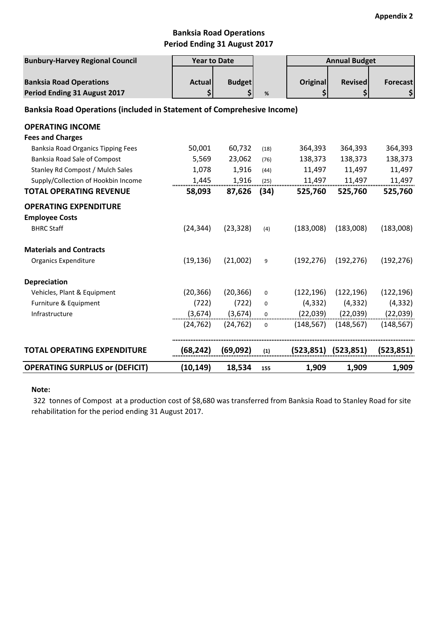### **Banksia Road Operations Period Ending 31 August 2017**

| <b>Bunbury-Harvey Regional Council</b>                                        | <b>Year to Date</b> |                     |                  |                       | <b>Annual Budget</b>      |                       |
|-------------------------------------------------------------------------------|---------------------|---------------------|------------------|-----------------------|---------------------------|-----------------------|
| <b>Banksia Road Operations</b><br>Period Ending 31 August 2017                | <b>Actual</b><br>\$ | <b>Budget</b><br>\$ | $\%$             | <b>Original</b><br>\$ | <b>Revised</b><br>\$      | <b>Forecast</b><br>\$ |
| <b>Banksia Road Operations (included in Statement of Comprehesive Income)</b> |                     |                     |                  |                       |                           |                       |
| <b>OPERATING INCOME</b>                                                       |                     |                     |                  |                       |                           |                       |
| <b>Fees and Charges</b>                                                       |                     |                     |                  |                       |                           |                       |
| <b>Banksia Road Organics Tipping Fees</b>                                     | 50,001              | 60,732              | (18)             | 364,393               | 364,393                   | 364,393               |
| Banksia Road Sale of Compost                                                  | 5,569               | 23,062              | (76)             | 138,373               | 138,373                   | 138,373               |
| Stanley Rd Compost / Mulch Sales                                              | 1,078               | 1,916               | (44)             | 11,497                | 11,497                    | 11,497                |
| Supply/Collection of Hookbin Income                                           | 1,445               | 1,916               | (25)             | 11,497                | 11,497                    | 11,497                |
| <b>TOTAL OPERATING REVENUE</b>                                                | 58,093              | 87,626              | (34)             | 525,760               | 525,760                   | 525,760               |
| <b>OPERATING EXPENDITURE</b>                                                  |                     |                     |                  |                       |                           |                       |
| <b>Employee Costs</b>                                                         |                     |                     |                  |                       |                           |                       |
| <b>BHRC Staff</b>                                                             | (24, 344)           | (23, 328)           | (4)              | (183,008)             | (183,008)                 | (183,008)             |
| <b>Materials and Contracts</b>                                                |                     |                     |                  |                       |                           |                       |
| <b>Organics Expenditure</b>                                                   | (19, 136)           | (21,002)            | 9                | (192, 276)            | (192, 276)                | (192, 276)            |
| <b>Depreciation</b>                                                           |                     |                     |                  |                       |                           |                       |
| Vehicles, Plant & Equipment                                                   | (20, 366)           | (20, 366)           | $\mathbf 0$      | (122, 196)            | (122, 196)                | (122, 196)            |
| Furniture & Equipment                                                         | (722)               | (722)               | $\mathbf 0$      | (4, 332)              | (4, 332)                  | (4, 332)              |
| Infrastructure                                                                | (3,674)             | (3,674)             | $\boldsymbol{0}$ | (22,039)              | (22,039)                  | (22, 039)             |
|                                                                               | (24, 762)           | (24, 762)           | $\Omega$         | (148, 567)            | (148, 567)                | (148, 567)            |
| <b>TOTAL OPERATING EXPENDITURE</b>                                            | (68, 242)           | (69,092)            | (1)              |                       | $(523, 851)$ $(523, 851)$ | (523, 851)            |
| <b>OPERATING SURPLUS or (DEFICIT)</b>                                         | (10,149)            | 18,534              | 155              | 1,909                 | 1,909                     | 1,909                 |

#### **Note:**

 322 tonnes of Compost at a production cost of \$8,680 was transferred from Banksia Road to Stanley Road for site rehabilitation for the period ending 31 August 2017.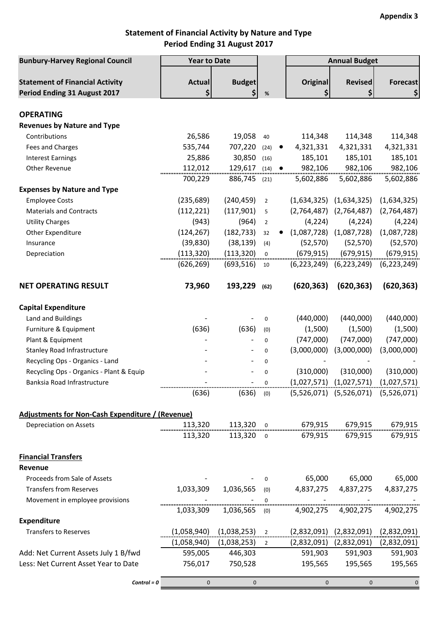# **Statement of Financial Activity by Nature and Type Period Ending 31 August 2017**

| <b>Bunbury-Harvey Regional Council</b>                                 | <b>Year to Date</b> |                         |                                |                                                                         | <b>Annual Budget</b>                      |                       |
|------------------------------------------------------------------------|---------------------|-------------------------|--------------------------------|-------------------------------------------------------------------------|-------------------------------------------|-----------------------|
| <b>Statement of Financial Activity</b><br>Period Ending 31 August 2017 | <b>Actual</b><br>\$ | <b>Budget</b><br>\$     | %                              | <b>Original</b><br>\$                                                   | <b>Revised</b>                            | <b>Forecast</b><br>\$ |
| <b>OPERATING</b>                                                       |                     |                         |                                |                                                                         |                                           |                       |
| <b>Revenues by Nature and Type</b>                                     |                     |                         |                                |                                                                         |                                           |                       |
| Contributions                                                          | 26,586              | 19,058                  | 40                             | 114,348                                                                 | 114,348                                   | 114,348               |
| <b>Fees and Charges</b>                                                | 535,744             | 707,220                 | (24)<br>$\bullet$              | 4,321,331                                                               | 4,321,331                                 | 4,321,331             |
| <b>Interest Earnings</b>                                               | 25,886              | 30,850                  | (16)                           | 185,101                                                                 | 185,101                                   | 185,101               |
| Other Revenue                                                          | 112,012             | 129,617                 | $(14)$ $\bullet$               | 982,106                                                                 | 982,106                                   | 982,106               |
|                                                                        | 700,229             | 886,745 (21)            |                                | 5,602,886                                                               | 5,602,886                                 | 5,602,886             |
| <b>Expenses by Nature and Type</b>                                     |                     |                         |                                |                                                                         |                                           |                       |
| <b>Employee Costs</b>                                                  | (235, 689)          | (240, 459)              | $\overline{2}$                 |                                                                         | $(1,634,325)$ $(1,634,325)$               | (1,634,325)           |
| <b>Materials and Contracts</b>                                         | (112, 221)          | (117,901)               | 5                              | (2,764,487)                                                             | (2,764,487)                               | (2,764,487)           |
| <b>Utility Charges</b>                                                 | (943)               | (964)                   | $\overline{2}$                 | (4, 224)                                                                | (4, 224)                                  | (4, 224)              |
| Other Expenditure                                                      | (124, 267)          | (182, 733)              | 32                             | (1,087,728)                                                             | (1,087,728)                               | (1,087,728)           |
| Insurance                                                              | (39, 830)           | (38, 139)               | (4)                            | (52, 570)                                                               | (52, 570)                                 | (52, 570)             |
| Depreciation                                                           | (113, 320)          | (113, 320)              | $\mathbf 0$                    | (679, 915)                                                              | (679, 915)                                | (679, 915)            |
|                                                                        | (626, 269)          | (693, 516)              | 10                             |                                                                         | $(6,223,249)$ $(6,223,249)$               | (6, 223, 249)         |
| <b>NET OPERATING RESULT</b>                                            | 73,960              | 193,229                 | (62)                           | (620, 363)                                                              | (620, 363)                                | (620, 363)            |
| <b>Capital Expenditure</b>                                             |                     |                         |                                |                                                                         |                                           |                       |
| Land and Buildings                                                     |                     |                         | $\mathbf 0$                    | (440,000)                                                               | (440,000)                                 | (440,000)             |
| Furniture & Equipment                                                  | (636)               | (636)                   | (0)                            | (1,500)                                                                 | (1,500)                                   | (1,500)               |
| Plant & Equipment                                                      |                     |                         | 0                              | (747,000)                                                               | (747,000)                                 | (747,000)             |
| <b>Stanley Road Infrastructure</b>                                     |                     |                         | 0                              | (3,000,000)                                                             | (3,000,000)                               | (3,000,000)           |
| Recycling Ops - Organics - Land                                        |                     |                         | 0                              |                                                                         |                                           |                       |
| Recycling Ops - Organics - Plant & Equip                               |                     |                         | $\boldsymbol{0}$               | (310,000)                                                               | (310,000)                                 | (310,000)             |
| Banksia Road Infrastructure                                            |                     |                         |                                |                                                                         |                                           |                       |
|                                                                        | (636)               |                         |                                | $(636)$ (0) $(5,526,071)$ $(5,526,071)$ $(5,526,071)$                   |                                           |                       |
| Adjustments for Non-Cash Expenditure / (Revenue)                       |                     |                         |                                |                                                                         |                                           |                       |
| Depreciation on Assets                                                 |                     |                         |                                |                                                                         |                                           |                       |
|                                                                        | 113,320             | 113,320 0               |                                |                                                                         | 679,915 679,915                           | 679,915               |
| <b>Financial Transfers</b>                                             |                     |                         |                                |                                                                         |                                           |                       |
| Revenue                                                                |                     |                         |                                |                                                                         |                                           |                       |
| Proceeds from Sale of Assets                                           |                     |                         | $\mathbf{0}$                   |                                                                         | 65,000 65,000 65,000                      |                       |
| <b>Transfers from Reserves</b>                                         |                     |                         |                                | 1,033,309 1,036,565 (0) 4,837,275 4,837,275 4,837,275                   |                                           |                       |
| Movement in employee provisions                                        |                     |                         |                                |                                                                         |                                           |                       |
| <b>Expenditure</b>                                                     |                     | 1,033,309 1,036,565 (0) |                                |                                                                         |                                           | 4,902,275             |
| <b>Transfers to Reserves</b>                                           |                     |                         |                                | $(1,058,940)$ $(1,038,253)$ 2 $(2,832,091)$ $(2,832,091)$ $(2,832,091)$ |                                           |                       |
|                                                                        |                     | (1,058,940) (1,038,253) | $2 \left( \frac{1}{2} \right)$ |                                                                         | $(2,832,091)$ $(2,832,091)$ $(2,832,091)$ |                       |
| Add: Net Current Assets July 1 B/fwd                                   |                     | 595,005 446,303         |                                | 591,903                                                                 | 591,903                                   | 591,903               |
| Less: Net Current Asset Year to Date                                   |                     | 756,017 750,528         |                                |                                                                         | 195,565 195,565                           | 195,565               |
| $Control = 0$                                                          | $\Omega$            | $\mathbf{0}$            |                                | $\Omega$                                                                | $\overline{0}$                            | $\mathbf 0$           |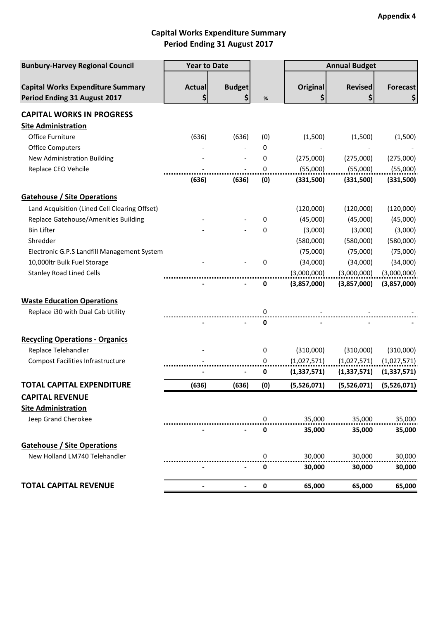# **Capital Works Expenditure Summary Period Ending 31 August 2017**

| <b>Bunbury-Harvey Regional Council</b>                                   | <b>Year to Date</b> |                     |     | <b>Annual Budget</b> |                |                 |
|--------------------------------------------------------------------------|---------------------|---------------------|-----|----------------------|----------------|-----------------|
| <b>Capital Works Expenditure Summary</b><br>Period Ending 31 August 2017 | <b>Actual</b><br>\$ | <b>Budget</b><br>\$ | %   | Original<br>\$       | <b>Revised</b> | <b>Forecast</b> |
| <b>CAPITAL WORKS IN PROGRESS</b>                                         |                     |                     |     |                      |                |                 |
| <b>Site Administration</b>                                               |                     |                     |     |                      |                |                 |
| Office Furniture                                                         | (636)               | (636)               | (0) | (1,500)              | (1,500)        | (1,500)         |
| <b>Office Computers</b>                                                  |                     |                     | 0   |                      |                |                 |
| New Administration Building                                              |                     |                     | 0   | (275,000)            | (275,000)      | (275,000)       |
| Replace CEO Vehcile                                                      |                     |                     | 0   | (55,000)             | (55,000)       | (55,000)        |
|                                                                          | (636)               | (636)               | (0) | (331,500)            | (331,500)      | (331,500)       |
| <b>Gatehouse / Site Operations</b>                                       |                     |                     |     |                      |                |                 |
| Land Acquisition (Lined Cell Clearing Offset)                            |                     |                     |     | (120,000)            | (120,000)      | (120,000)       |
| Replace Gatehouse/Amenities Building                                     |                     |                     | 0   | (45,000)             | (45,000)       | (45,000)        |
| <b>Bin Lifter</b>                                                        |                     |                     | 0   | (3,000)              | (3,000)        | (3,000)         |
| Shredder                                                                 |                     |                     |     | (580,000)            | (580,000)      | (580,000)       |
| Electronic G.P.S Landfill Management System                              |                     |                     |     | (75,000)             | (75,000)       | (75,000)        |
| 10,000ltr Bulk Fuel Storage                                              |                     |                     | 0   | (34,000)             | (34,000)       | (34,000)        |
| <b>Stanley Road Lined Cells</b>                                          |                     |                     |     | (3,000,000)          | (3,000,000)    | (3,000,000)     |
|                                                                          |                     |                     | 0   | (3,857,000)          | (3,857,000)    | (3,857,000)     |
| <b>Waste Education Operations</b>                                        |                     |                     |     |                      |                |                 |
| Replace i30 with Dual Cab Utility                                        |                     |                     | 0   |                      |                |                 |
|                                                                          |                     |                     | 0   |                      |                |                 |
| <b>Recycling Operations - Organics</b>                                   |                     |                     |     |                      |                |                 |
| Replace Telehandler                                                      |                     |                     | 0   | (310,000)            | (310,000)      | (310,000)       |
| <b>Compost Facilities Infrastructure</b>                                 |                     |                     | 0   | (1,027,571)          | (1,027,571)    | (1,027,571)     |
|                                                                          |                     |                     | 0   | (1,337,571)          | (1,337,571)    | (1,337,571)     |
| <b>TOTAL CAPITAL EXPENDITURE</b>                                         | (636)               | (636)               | (0) | (5,526,071)          | (5,526,071)    | (5,526,071)     |
| <b>CAPITAL REVENUE</b>                                                   |                     |                     |     |                      |                |                 |
| <b>Site Administration</b>                                               |                     |                     |     |                      |                |                 |
| Jeep Grand Cherokee                                                      |                     |                     | 0   | 35,000               | 35,000         | 35,000          |
|                                                                          |                     |                     | 0   | 35,000               | 35,000         | 35,000          |
| <b>Gatehouse / Site Operations</b>                                       |                     |                     |     |                      |                |                 |
| New Holland LM740 Telehandler                                            |                     |                     | 0   | 30,000               | 30,000         | 30,000          |
|                                                                          |                     |                     | 0   | 30,000               | 30,000         | 30,000          |
| <b>TOTAL CAPITAL REVENUE</b>                                             |                     |                     | 0   | 65,000               | 65,000         | 65,000          |
|                                                                          |                     |                     |     |                      |                |                 |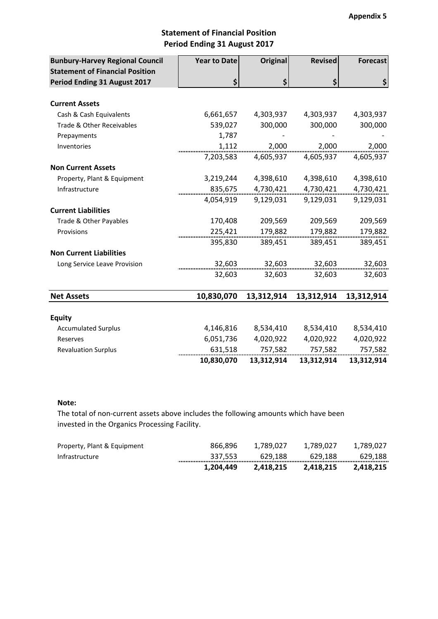### **Statement of Financial Position Period Ending 31 August 2017**

| <b>Bunbury-Harvey Regional Council</b><br><b>Statement of Financial Position</b> | <b>Year to Date</b> | <b>Original</b> | <b>Revised</b> | <b>Forecast</b> |
|----------------------------------------------------------------------------------|---------------------|-----------------|----------------|-----------------|
| Period Ending 31 August 2017                                                     | \$                  | \$              | \$             | \$              |
|                                                                                  |                     |                 |                |                 |
| <b>Current Assets</b>                                                            |                     |                 |                |                 |
| Cash & Cash Equivalents                                                          | 6,661,657           | 4,303,937       | 4,303,937      | 4,303,937       |
| Trade & Other Receivables                                                        | 539,027             | 300,000         | 300,000        | 300,000         |
| Prepayments                                                                      | 1,787               |                 |                |                 |
| Inventories                                                                      | 1,112               | 2,000           | 2,000          | 2,000           |
|                                                                                  | 7,203,583           | 4,605,937       | 4,605,937      | 4,605,937       |
| <b>Non Current Assets</b>                                                        |                     |                 |                |                 |
| Property, Plant & Equipment                                                      | 3,219,244           | 4,398,610       | 4,398,610      | 4,398,610       |
| Infrastructure                                                                   | 835,675             | 4,730,421       | 4,730,421      | 4,730,421       |
|                                                                                  | 4,054,919           | 9,129,031       | 9,129,031      | 9,129,031       |
| <b>Current Liabilities</b>                                                       |                     |                 |                |                 |
| Trade & Other Payables                                                           | 170,408             | 209,569         | 209,569        | 209,569         |
| Provisions                                                                       | 225,421             | 179,882         | 179,882        | 179,882         |
|                                                                                  | 395,830             | 389,451         | 389,451        | 389,451         |
| <b>Non Current Liabilities</b>                                                   |                     |                 |                |                 |
| Long Service Leave Provision                                                     | 32,603              | 32,603          | 32,603         | 32,603          |
|                                                                                  | 32,603              | 32,603          | 32,603         | 32,603          |
| <b>Net Assets</b>                                                                | 10,830,070          | 13,312,914      | 13,312,914     | 13,312,914      |
| <b>Equity</b>                                                                    |                     |                 |                |                 |
| <b>Accumulated Surplus</b>                                                       | 4,146,816           | 8,534,410       | 8,534,410      | 8,534,410       |
| Reserves                                                                         | 6,051,736           | 4,020,922       | 4,020,922      | 4,020,922       |
| <b>Revaluation Surplus</b>                                                       | 631,518             | 757,582         | 757,582        | 757,582         |
|                                                                                  | 10,830,070          | 13,312,914      | 13,312,914     | 13,312,914      |

### **Note:**

The total of non-current assets above includes the following amounts which have been invested in the Organics Processing Facility.

|                             | 1.204.449 | 2.418.215 | 2.418.215 | 2.418.215   |
|-----------------------------|-----------|-----------|-----------|-------------|
| Infrastructure              | 337.553   | 629.188   | 629.188   | 629.188<br> |
| Property, Plant & Equipment | 866.896   | 1.789.027 | 1.789.027 | 1.789.027   |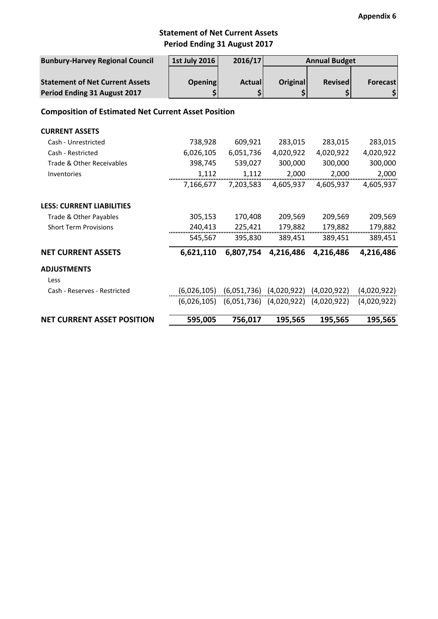# **Statement of Net Current Assets Period Ending 31 August 2017**

| <b>Bunbury-Harvey Regional Council</b>                     | <b>1st July 2016</b> | 2016/17<br><b>Annual Budget</b>                         |                 |                                                         |                 |
|------------------------------------------------------------|----------------------|---------------------------------------------------------|-----------------|---------------------------------------------------------|-----------------|
|                                                            |                      |                                                         |                 |                                                         |                 |
| <b>Statement of Net Current Assets</b>                     | <b>Opening</b>       | <b>Actual</b>                                           | <b>Original</b> | <b>Revised</b>                                          | <b>Forecast</b> |
| Period Ending 31 August 2017                               | \$                   | \$                                                      |                 | \$                                                      | \$              |
| <b>Composition of Estimated Net Current Asset Position</b> |                      |                                                         |                 |                                                         |                 |
| <b>CURRENT ASSETS</b>                                      |                      |                                                         |                 |                                                         |                 |
| Cash - Unrestricted                                        | 738,928              | 609,921                                                 | 283,015         | 283,015                                                 | 283,015         |
| Cash - Restricted                                          | 6,026,105            | 6,051,736                                               | 4,020,922       | 4,020,922                                               | 4,020,922       |
| Trade & Other Receivables                                  | 398,745              | 539,027                                                 | 300,000         | 300,000                                                 | 300,000         |
| Inventories                                                | 1,112                | 1,112                                                   | 2,000           | 2,000                                                   | 2,000           |
|                                                            | 7,166,677            | 7,203,583                                               | 4,605,937       | 4,605,937                                               | 4,605,937       |
| <b>LESS: CURRENT LIABILITIES</b>                           |                      |                                                         |                 |                                                         |                 |
| Trade & Other Payables                                     | 305,153              | 170,408                                                 | 209,569         | 209,569                                                 | 209,569         |
| <b>Short Term Provisions</b>                               | 240,413              | 225,421                                                 | 179,882         | 179,882                                                 | 179,882         |
|                                                            | 545,567              | 395,830                                                 | 389,451         | 389,451                                                 | 389,451         |
| <b>NET CURRENT ASSETS</b>                                  | 6,621,110            | 6,807,754                                               | 4,216,486       | 4,216,486                                               | 4,216,486       |
| <b>ADJUSTMENTS</b>                                         |                      |                                                         |                 |                                                         |                 |
| Less                                                       |                      |                                                         |                 |                                                         |                 |
| Cash - Reserves - Restricted                               |                      |                                                         |                 | $(6,026,105)$ $(6,051,736)$ $(4,020,922)$ $(4,020,922)$ | (4,020,922)     |
|                                                            |                      | $(6,026,105)$ $(6,051,736)$ $(4,020,922)$ $(4,020,922)$ |                 |                                                         | (4,020,922)     |
| <b>NET CURRENT ASSET POSITION</b>                          | 595,005              | 756,017                                                 | 195,565         | 195,565                                                 | 195,565         |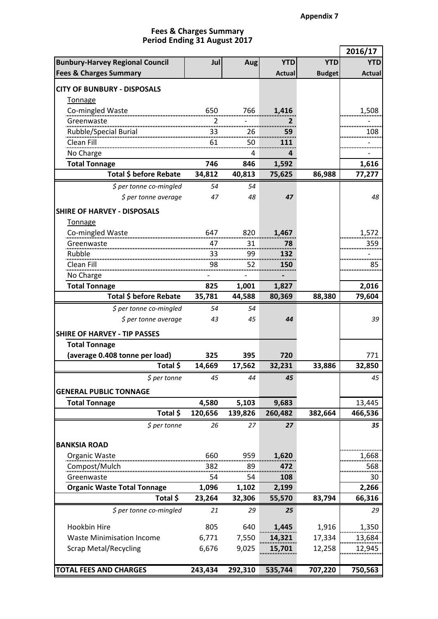### **Period Ending 31 August 2017 Fees & Charges Summary**

|                                        |         |            |               |               | 2016/17       |
|----------------------------------------|---------|------------|---------------|---------------|---------------|
| <b>Bunbury-Harvey Regional Council</b> | Jul     | <b>Aug</b> | <b>YTD</b>    | <b>YTD</b>    | <b>YTD</b>    |
| <b>Fees &amp; Charges Summary</b>      |         |            | <b>Actual</b> | <b>Budget</b> | <b>Actual</b> |
| <b>CITY OF BUNBURY - DISPOSALS</b>     |         |            |               |               |               |
| <b>Tonnage</b>                         |         |            |               |               |               |
| Co-mingled Waste                       | 650     | 766        | 1,416         |               | 1,508         |
| Greenwaste                             |         |            |               |               |               |
| Rubble/Special Burial                  | 33      | 26         | 59            |               | 108           |
| Clean Fill                             | 61      | 50         | 111           |               |               |
| No Charge                              |         | 4          | 4             |               |               |
| <b>Total Tonnage</b>                   | 746     | 846        | 1,592         |               | 1,616         |
| Total \$ before Rebate                 | 34,812  | 40,813     | 75,625        | 86,988        | 77,277        |
| \$ per tonne co-mingled                | 54      | 54         |               |               |               |
| \$ per tonne average                   | 47      | 48         | 47            |               | 48            |
| <b>SHIRE OF HARVEY - DISPOSALS</b>     |         |            |               |               |               |
| Tonnage                                |         |            |               |               |               |
| Co-mingled Waste                       | 647     | 820        | 1,467         |               | 1,572         |
| Greenwaste                             | 47      | 31         | 78            |               | 359           |
| Rubble                                 | 33      | 99         | 132           |               |               |
| Clean Fill                             | 98      | 52         | 150           |               | 85            |
| No Charge                              |         |            |               |               |               |
| <b>Total Tonnage</b>                   | 825     | 1,001      | 1,827         |               | 2,016         |
| Total \$ before Rebate                 | 35,781  | 44,588     | 80,369        | 88,380        | 79,604        |
| \$ per tonne co-mingled                | 54      | 54         |               |               |               |
| \$ per tonne average                   | 43      | 45         | 44            |               | 39            |
| <b>SHIRE OF HARVEY - TIP PASSES</b>    |         |            |               |               |               |
| <b>Total Tonnage</b>                   |         |            |               |               |               |
| (average 0.408 tonne per load)         | 325     | 395        | 720           |               | 771           |
| Total \$                               | 14,669  | 17,562     | 32,231        | 33,886        | 32,850        |
| $$$ per tonne                          | 45      | 44         | 45            |               | 45            |
| <b>GENERAL PUBLIC TONNAGE</b>          |         |            |               |               |               |
| <b>Total Tonnage</b>                   | 4,580   | 5,103      | 9,683         |               | 13,445        |
| Total \$                               | 120,656 | 139,826    | 260,482       | 382,664       | 466,536       |
| $$$ per tonne                          | 26      | 27         | 27            |               | 35            |
|                                        |         |            |               |               |               |
| <b>BANKSIA ROAD</b>                    |         |            |               |               |               |
| Organic Waste                          | 660     | 959        | 1,620         |               | 1,668         |
| Compost/Mulch                          | 382     | 89         | 472           |               | 568           |
| Greenwaste                             | 54      | 54         | 108           |               | 30            |
| <b>Organic Waste Total Tonnage</b>     | 1,096   | 1,102      | 2,199         |               | 2,266         |
| Total \$                               | 23,264  | 32,306     | 55,570        | 83,794        | 66,316        |
| \$ per tonne co-mingled                | 21      | 29         | 25            |               | 29            |
| Hookbin Hire                           | 805     | 640        | 1,445         | 1,916         | 1,350         |
| <b>Waste Minimisation Income</b>       | 6,771   | 7,550      | 14,321        | 17,334        | 13,684        |
| <b>Scrap Metal/Recycling</b>           | 6,676   | 9,025      | 15,701        | 12,258        | 12,945        |
|                                        |         |            |               |               |               |
| <b>TOTAL FEES AND CHARGES</b>          | 243,434 | 292,310    | 535,744       | 707,220       | 750,563       |